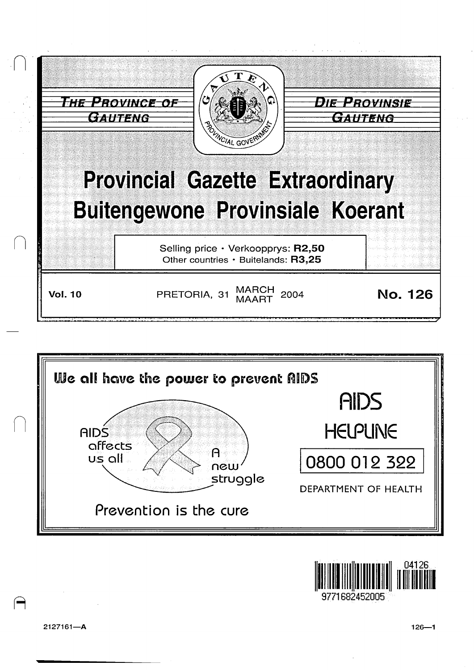





1682452005

2127161-A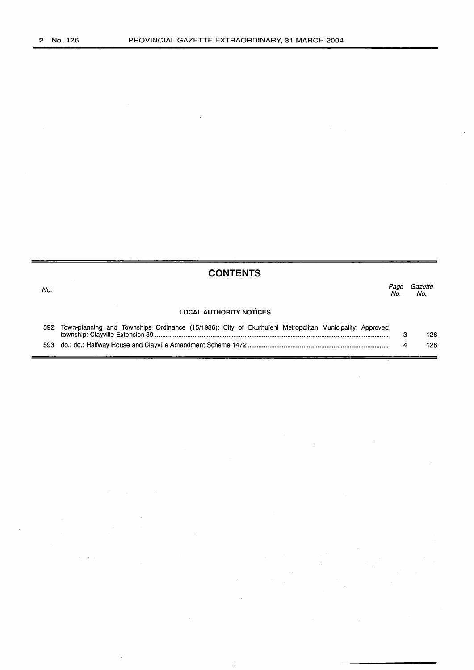|      | <b>CONTENTS</b>                                                                                         |             |                |
|------|---------------------------------------------------------------------------------------------------------|-------------|----------------|
| No.  |                                                                                                         | Page<br>No. | Gazette<br>No. |
|      | <b>LOCAL AUTHORITY NOTICES</b>                                                                          |             |                |
| 592  | Town-planning and Townships Ordinance (15/1986): City of Ekurhuleni Metropolitan Municipality: Approved | 3           | 126            |
| 593. |                                                                                                         | 4           | 126            |

 $\bar{1}$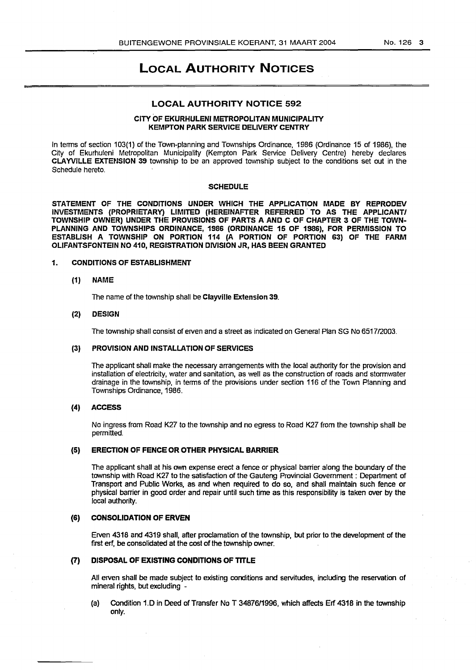# LOCAL AUTHORITY NOTICES

#### LOCAL AUTHORITY NOTICE 592

### CITY OF EKURHULENI METROPOLITAN MUNICIPALITY KEMPTON PARK SERVICE DELIVERY CENTRY

In terms of section 103(1) of the Town-planning and Townships Ordinance, 1986 (Ordinance 15 of 1986), the City of Ekurhuleni Metropolitan Municipality (Kempton Park Service Delivery Centre) hereby declares CLAYVILLE EXTENSION 39 township to be an approved township subject to the conditions set out in the Schedule hereto.

#### **SCHEDULE**

STATEMENT OF THE CONDITIONS UNDER WHICH THE APPLICATION MADE BY REPRODEV INVESTMENTS (PROPRIETARY) LIMITED (HEREINAFTER REFERRED . TO AS THE APPLICANT/ TOWNSHIP OWNER) UNDER THE PROVISIONS OF PARTS A AND C OF CHAPTER 3 OF THE TOWN-PLANNING AND TOWNSHIPS ORDINANCE, 1986 (ORDINANCE 15 OF 1986), FOR PERMISSION TO ESTABLISH A TOWNSHIP ON PORTION 114 (A PORTION OF PORTION 63) OF THE FARM OLIFANTSFONTEIN NO 410, REGISTRATION DIVISION JR, HAS BEEN GRANTED

#### 1. CONDITIONS OF ESTABLISHMENT

## (1) NAME

The name of the township shall be Clayville Extension 39.

#### (2) DESIGN

The township shall consist of erven and a street as indicated on General Plan SG No 651712003.

# (3) PROVISION AND INSTALLATION OF SERVICES

The applicant shall make the necessary arrangements with the local authority for the provision and installation of electricity, water and sanitation, as well as the construction of roads and stormwater drainage in the township, in terms of the provisions under section 116 of the Town Planning and Townships Ordinance, 1986.

# (4) ACCESS

No ingress from Road K27 to the township and no egress to Road K27 from the township shall be permitted.

#### (5} ERECTION OF FENCE OR OTHER PHYSICAL BARRIER

The applicant shall at his own expense erect a fence or physical barrier along the boundary of the township with Road K27 to the satisfaction of the Gauteng Provincial Government : Department of Transport and Public Works, as and when required to do so, and shall maintain such fence or physical barrier in good order and repair until such time as this responsibility is taken over by the local authority.

## (6) CONSOLIDATION OF ERVEN

Erven 4318 and 4319 shall, after proclamation of the township, but prior to the development of the first erf, be consolidated at the cost of the township owner.

# (7) DISPOSAL OF EXISTING CONDITIONS OF TITLE

All erven shall be made subject to existing conditions and servitudes, including the reservation of mineral rights, but excluding -

(a) Condition 1.0 in Deed of Transfer NoT 3487611996, which affects Erf 4318 in the township only.